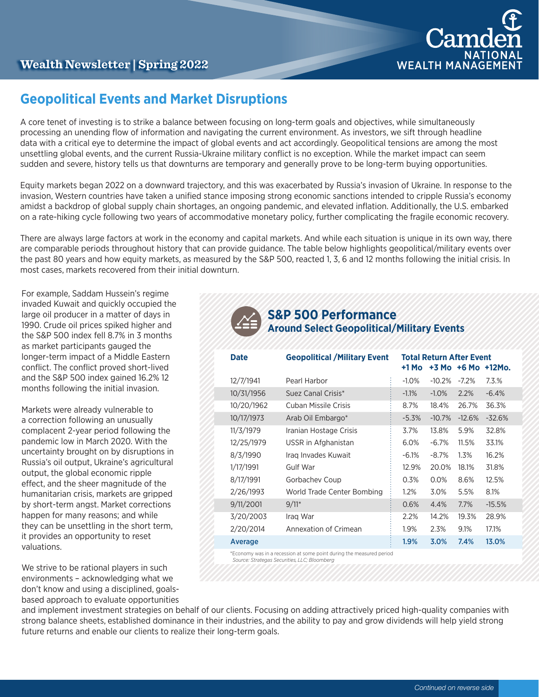

# **Geopolitical Events and Market Disruptions**

A core tenet of investing is to strike a balance between focusing on long-term goals and objectives, while simultaneously processing an unending flow of information and navigating the current environment. As investors, we sift through headline data with a critical eye to determine the impact of global events and act accordingly. Geopolitical tensions are among the most unsettling global events, and the current Russia-Ukraine military conflict is no exception. While the market impact can seem sudden and severe, history tells us that downturns are temporary and generally prove to be long-term buying opportunities.

Equity markets began 2022 on a downward trajectory, and this was exacerbated by Russia's invasion of Ukraine. In response to the invasion, Western countries have taken a unified stance imposing strong economic sanctions intended to cripple Russia's economy amidst a backdrop of global supply chain shortages, an ongoing pandemic, and elevated inflation. Additionally, the U.S. embarked on a rate-hiking cycle following two years of accommodative monetary policy, further complicating the fragile economic recovery.

There are always large factors at work in the economy and capital markets. And while each situation is unique in its own way, there are comparable periods throughout history that can provide guidance. The table below highlights geopolitical/military events over the past 80 years and how equity markets, as measured by the S&P 500, reacted 1, 3, 6 and 12 months following the initial crisis. In most cases, markets recovered from their initial downturn.

For example, Saddam Hussein's regime invaded Kuwait and quickly occupied the large oil producer in a matter of days in 1990. Crude oil prices spiked higher and the S&P 500 index fell 8.7% in 3 months as market participants gauged the longer-term impact of a Middle Eastern conflict. The conflict proved short-lived and the S&P 500 index gained 16.2% 12 months following the initial invasion.

Markets were already vulnerable to a correction following an unusually complacent 2-year period following the pandemic low in March 2020. With the uncertainty brought on by disruptions in Russia's oil output, Ukraine's agricultural output, the global economic ripple effect, and the sheer magnitude of the humanitarian crisis, markets are gripped by short-term angst. Market corrections happen for many reasons; and while they can be unsettling in the short term, it provides an opportunity to reset valuations.

We strive to be rational players in such environments – acknowledging what we don't know and using a disciplined, goalsbased approach to evaluate opportunities

## **S&P 500 Performance Around Select Geopolitical/Military Events**

| <b>Date</b> | <b>Geopolitical / Military Event</b> | +1 Mo    | <b>Total Return After Event</b> |          | $+3$ Mo $+6$ Mo $+12$ Mo. |
|-------------|--------------------------------------|----------|---------------------------------|----------|---------------------------|
| 12/7/1941   | Pearl Harbor                         | $-1.0%$  | $-10.2%$                        | $-7.2%$  | 7.3.%                     |
| 10/31/1956  | Suez Canal Crisis*                   | $-1.1\%$ | $-1.0\%$                        | 2.2%     | $-6.4%$                   |
| 10/20/1962  | Cuban Missile Crisis                 | 8.7%     | 18.4%                           | 26.7%    | 36.3%                     |
| 10/17/1973  | Arab Oil Embargo*                    | $-5.3%$  | $-10.7%$                        | $-12.6%$ | $-32.6%$                  |
| 11/3/1979   | Iranian Hostage Crisis               | 3.7%     | 13.8%                           | 5.9%     | 32.8%                     |
| 12/25/1979  | USSR in Afghanistan                  | 6.0%     | $-6.7\%$                        | 11.5%    | 33.1%                     |
| 8/3/1990    | Irag Invades Kuwait                  | $-6.1%$  | $-8.7\%$                        | 1.3%     | 16.2%                     |
| 1/17/1991   | Gulf War                             | 12.9%    | 20.0%                           | 18.1%    | 31.8%                     |
| 8/17/1991   | Gorbachev Coup                       | 0.3%     | $0.0\%$                         | 8.6%     | 12.5%                     |
| 2/26/1993   | World Trade Center Bombing           | $1.2\%$  | 3.0%                            | 5.5%     | 8.1%                      |
| 9/11/2001   | $9/11*$                              | 0.6%     | 4.4%                            | 7.7%     | $-15.5%$                  |
| 3/20/2003   | Irag War                             | 2.2%     | 14.2%                           | 19.3%    | 28.9%                     |
| 2/20/2014   | Annexation of Crimean                | 1.9%     | 2.3%                            | 9.1%     | 17.1%                     |
| Average     |                                      | $1.9\%$  | 3.0%                            | 7.4%     | 13.0%                     |
|             |                                      |          |                                 |          |                           |

\*Economy was in a recession at some point during the measured period  *Source: Strategas Securities, LLC; Bloomberg*

and implement investment strategies on behalf of our clients. Focusing on adding attractively priced high-quality companies with strong balance sheets, established dominance in their industries, and the ability to pay and grow dividends will help yield strong future returns and enable our clients to realize their long-term goals.